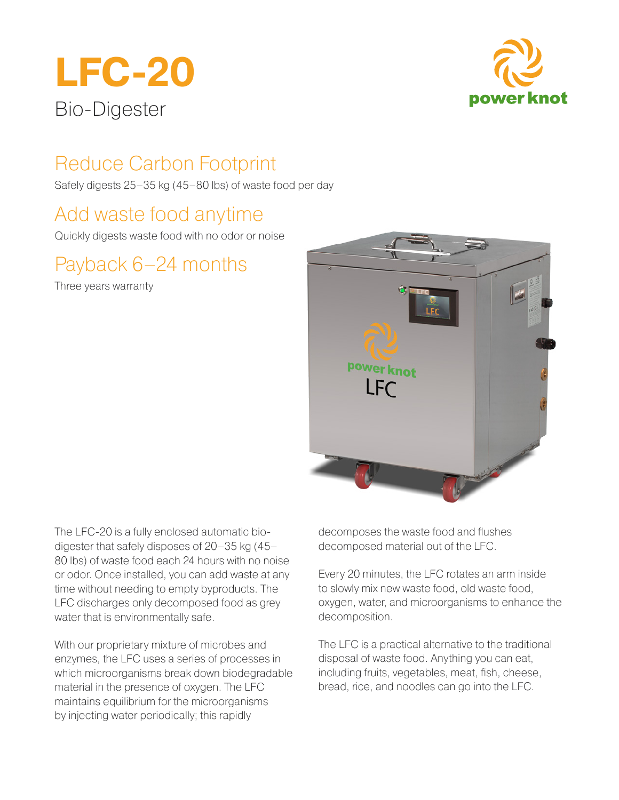



# Reduce Carbon Footprint

Safely digests 25–35 kg (45–80 lbs) of waste food per day

### Add waste food anytime

Quickly digests waste food with no odor or noise

# Payback 6–24 months

Three years warranty



The LFC-20 is a fully enclosed automatic biodigester that safely disposes of 20–35 kg (45– 80 lbs) of waste food each 24 hours with no noise or odor. Once installed, you can add waste at any time without needing to empty byproducts. The LFC discharges only decomposed food as grey water that is environmentally safe.

With our proprietary mixture of microbes and enzymes, the LFC uses a series of processes in which microorganisms break down biodegradable material in the presence of oxygen. The LFC maintains equilibrium for the microorganisms by injecting water periodically; this rapidly

decomposes the waste food and flushes decomposed material out of the LFC.

Every 20 minutes, the LFC rotates an arm inside to slowly mix new waste food, old waste food, oxygen, water, and microorganisms to enhance the decomposition.

The LFC is a practical alternative to the traditional disposal of waste food. Anything you can eat, including fruits, vegetables, meat, fish, cheese, bread, rice, and noodles can go into the LFC.